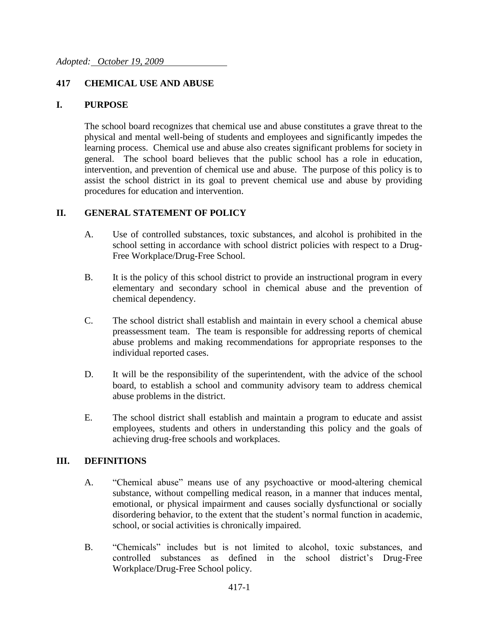### **417 CHEMICAL USE AND ABUSE**

#### **I. PURPOSE**

The school board recognizes that chemical use and abuse constitutes a grave threat to the physical and mental well-being of students and employees and significantly impedes the learning process. Chemical use and abuse also creates significant problems for society in general. The school board believes that the public school has a role in education, intervention, and prevention of chemical use and abuse. The purpose of this policy is to assist the school district in its goal to prevent chemical use and abuse by providing procedures for education and intervention.

#### **II. GENERAL STATEMENT OF POLICY**

- A. Use of controlled substances, toxic substances, and alcohol is prohibited in the school setting in accordance with school district policies with respect to a Drug-Free Workplace/Drug-Free School.
- B. It is the policy of this school district to provide an instructional program in every elementary and secondary school in chemical abuse and the prevention of chemical dependency.
- C. The school district shall establish and maintain in every school a chemical abuse preassessment team. The team is responsible for addressing reports of chemical abuse problems and making recommendations for appropriate responses to the individual reported cases.
- D. It will be the responsibility of the superintendent, with the advice of the school board, to establish a school and community advisory team to address chemical abuse problems in the district.
- E. The school district shall establish and maintain a program to educate and assist employees, students and others in understanding this policy and the goals of achieving drug-free schools and workplaces.

### **III. DEFINITIONS**

- A. "Chemical abuse" means use of any psychoactive or mood-altering chemical substance, without compelling medical reason, in a manner that induces mental, emotional, or physical impairment and causes socially dysfunctional or socially disordering behavior, to the extent that the student's normal function in academic, school, or social activities is chronically impaired.
- B. "Chemicals" includes but is not limited to alcohol, toxic substances, and controlled substances as defined in the school district's Drug-Free Workplace/Drug-Free School policy.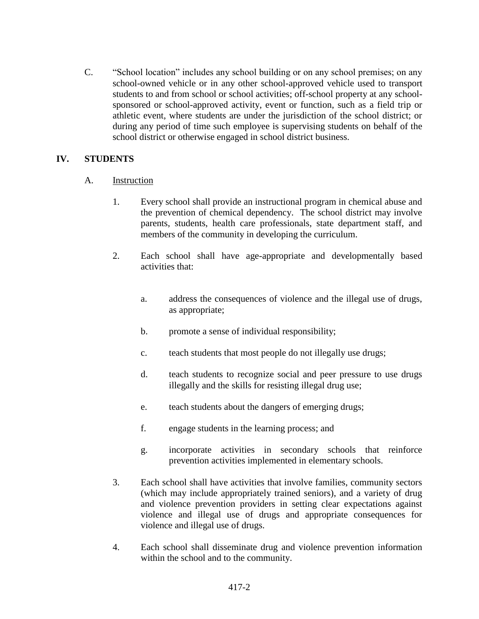C. "School location" includes any school building or on any school premises; on any school-owned vehicle or in any other school-approved vehicle used to transport students to and from school or school activities; off-school property at any schoolsponsored or school-approved activity, event or function, such as a field trip or athletic event, where students are under the jurisdiction of the school district; or during any period of time such employee is supervising students on behalf of the school district or otherwise engaged in school district business.

### **IV. STUDENTS**

- A. Instruction
	- 1. Every school shall provide an instructional program in chemical abuse and the prevention of chemical dependency. The school district may involve parents, students, health care professionals, state department staff, and members of the community in developing the curriculum.
	- 2. Each school shall have age-appropriate and developmentally based activities that:
		- a. address the consequences of violence and the illegal use of drugs, as appropriate;
		- b. promote a sense of individual responsibility;
		- c. teach students that most people do not illegally use drugs;
		- d. teach students to recognize social and peer pressure to use drugs illegally and the skills for resisting illegal drug use;
		- e. teach students about the dangers of emerging drugs;
		- f. engage students in the learning process; and
		- g. incorporate activities in secondary schools that reinforce prevention activities implemented in elementary schools.
	- 3. Each school shall have activities that involve families, community sectors (which may include appropriately trained seniors), and a variety of drug and violence prevention providers in setting clear expectations against violence and illegal use of drugs and appropriate consequences for violence and illegal use of drugs.
	- 4. Each school shall disseminate drug and violence prevention information within the school and to the community.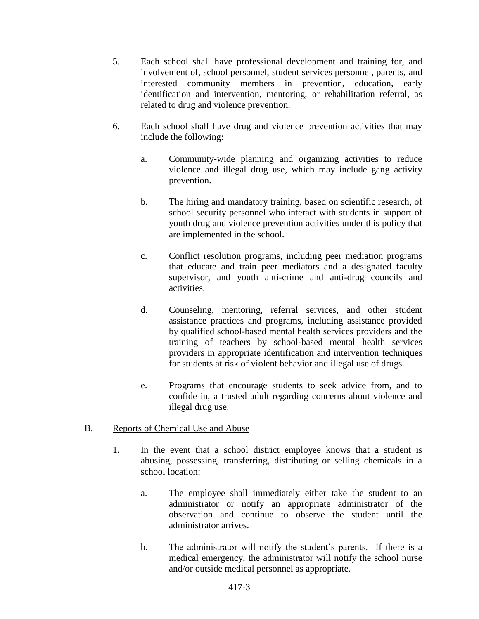- 5. Each school shall have professional development and training for, and involvement of, school personnel, student services personnel, parents, and interested community members in prevention, education, early identification and intervention, mentoring, or rehabilitation referral, as related to drug and violence prevention.
- 6. Each school shall have drug and violence prevention activities that may include the following:
	- a. Community-wide planning and organizing activities to reduce violence and illegal drug use, which may include gang activity prevention.
	- b. The hiring and mandatory training, based on scientific research, of school security personnel who interact with students in support of youth drug and violence prevention activities under this policy that are implemented in the school.
	- c. Conflict resolution programs, including peer mediation programs that educate and train peer mediators and a designated faculty supervisor, and youth anti-crime and anti-drug councils and activities.
	- d. Counseling, mentoring, referral services, and other student assistance practices and programs, including assistance provided by qualified school-based mental health services providers and the training of teachers by school-based mental health services providers in appropriate identification and intervention techniques for students at risk of violent behavior and illegal use of drugs.
	- e. Programs that encourage students to seek advice from, and to confide in, a trusted adult regarding concerns about violence and illegal drug use.
- B. Reports of Chemical Use and Abuse
	- 1. In the event that a school district employee knows that a student is abusing, possessing, transferring, distributing or selling chemicals in a school location:
		- a. The employee shall immediately either take the student to an administrator or notify an appropriate administrator of the observation and continue to observe the student until the administrator arrives.
		- b. The administrator will notify the student's parents. If there is a medical emergency, the administrator will notify the school nurse and/or outside medical personnel as appropriate.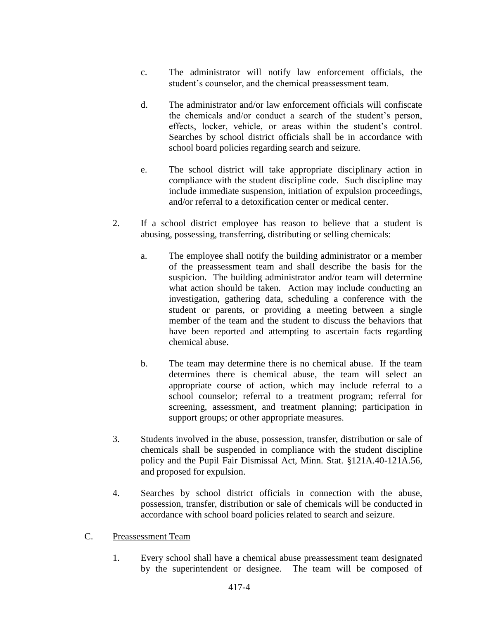- c. The administrator will notify law enforcement officials, the student's counselor, and the chemical preassessment team.
- d. The administrator and/or law enforcement officials will confiscate the chemicals and/or conduct a search of the student's person, effects, locker, vehicle, or areas within the student's control. Searches by school district officials shall be in accordance with school board policies regarding search and seizure.
- e. The school district will take appropriate disciplinary action in compliance with the student discipline code. Such discipline may include immediate suspension, initiation of expulsion proceedings, and/or referral to a detoxification center or medical center.
- 2. If a school district employee has reason to believe that a student is abusing, possessing, transferring, distributing or selling chemicals:
	- a. The employee shall notify the building administrator or a member of the preassessment team and shall describe the basis for the suspicion. The building administrator and/or team will determine what action should be taken. Action may include conducting an investigation, gathering data, scheduling a conference with the student or parents, or providing a meeting between a single member of the team and the student to discuss the behaviors that have been reported and attempting to ascertain facts regarding chemical abuse.
	- b. The team may determine there is no chemical abuse. If the team determines there is chemical abuse, the team will select an appropriate course of action, which may include referral to a school counselor; referral to a treatment program; referral for screening, assessment, and treatment planning; participation in support groups; or other appropriate measures.
- 3. Students involved in the abuse, possession, transfer, distribution or sale of chemicals shall be suspended in compliance with the student discipline policy and the Pupil Fair Dismissal Act, Minn. Stat. §121A.40-121A.56, and proposed for expulsion.
- 4. Searches by school district officials in connection with the abuse, possession, transfer, distribution or sale of chemicals will be conducted in accordance with school board policies related to search and seizure.
- C. Preassessment Team
	- 1. Every school shall have a chemical abuse preassessment team designated by the superintendent or designee. The team will be composed of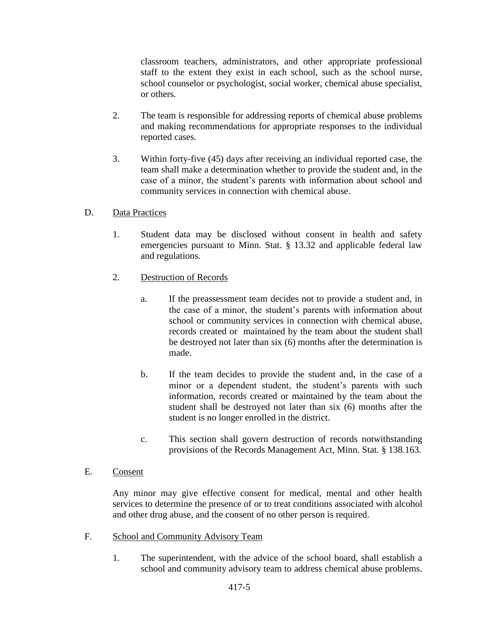classroom teachers, administrators, and other appropriate professional staff to the extent they exist in each school, such as the school nurse, school counselor or psychologist, social worker, chemical abuse specialist, or others.

- 2. The team is responsible for addressing reports of chemical abuse problems and making recommendations for appropriate responses to the individual reported cases.
- 3. Within forty-five (45) days after receiving an individual reported case, the team shall make a determination whether to provide the student and, in the case of a minor, the student's parents with information about school and community services in connection with chemical abuse.

## D. Data Practices

- 1. Student data may be disclosed without consent in health and safety emergencies pursuant to Minn. Stat. § 13.32 and applicable federal law and regulations.
- 2. Destruction of Records
	- a. If the preassessment team decides not to provide a student and, in the case of a minor, the student's parents with information about school or community services in connection with chemical abuse, records created or maintained by the team about the student shall be destroyed not later than six (6) months after the determination is made.
	- b. If the team decides to provide the student and, in the case of a minor or a dependent student, the student's parents with such information, records created or maintained by the team about the student shall be destroyed not later than six (6) months after the student is no longer enrolled in the district.
	- c. This section shall govern destruction of records notwithstanding provisions of the Records Management Act, Minn. Stat. § 138.163.

#### E. Consent

Any minor may give effective consent for medical, mental and other health services to determine the presence of or to treat conditions associated with alcohol and other drug abuse, and the consent of no other person is required.

- F. School and Community Advisory Team
	- 1. The superintendent, with the advice of the school board, shall establish a school and community advisory team to address chemical abuse problems.